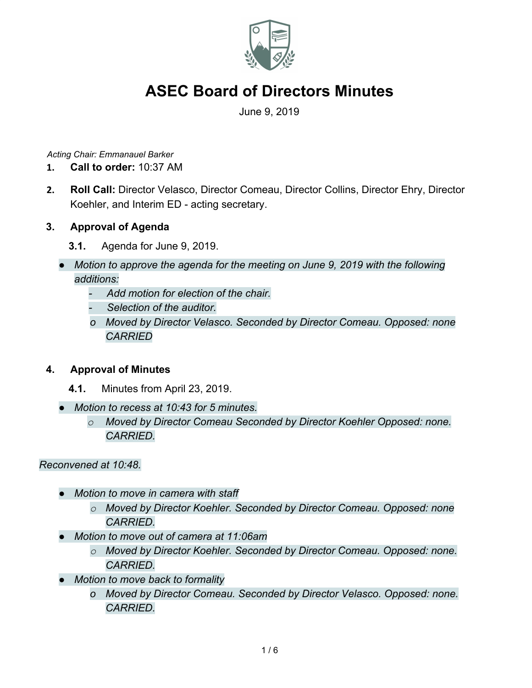

June 9, 2019

*Acting Chair: Emmanauel Barker*

- **1. Call to order:** 10:37 AM
- **2. Roll Call:** Director Velasco, Director Comeau, Director Collins, Director Ehry, Director Koehler, and Interim ED - acting secretary.

### **3. Approval of Agenda**

- **3.1.** Agenda for June 9, 2019.
- *● Motion to approve the agenda for the meeting on June 9, 2019 with the following additions:*
	- *- Add motion for election of the chair.*
	- *- Selection of the auditor.*
	- *o Moved by Director Velasco. Seconded by Director Comeau. Opposed: none CARRIED*

### **4. Approval of Minutes**

- **4.1.** Minutes from April 23, 2019.
- *● Motion to recess at 10:43 for 5 minutes.*
	- *o Moved by Director Comeau Seconded by Director Koehler Opposed: none. CARRIED.*

#### *Reconvened at 10:48.*

- *● Motion to move in camera with staff*
	- *o Moved by Director Koehler. Seconded by Director Comeau. Opposed: none CARRIED.*
- *● Motion to move out of camera at 11:06am*
	- *o Moved by Director Koehler. Seconded by Director Comeau. Opposed: none. CARRIED.*
- *● Motion to move back to formality*
	- *o Moved by Director Comeau. Seconded by Director Velasco. Opposed: none. CARRIED.*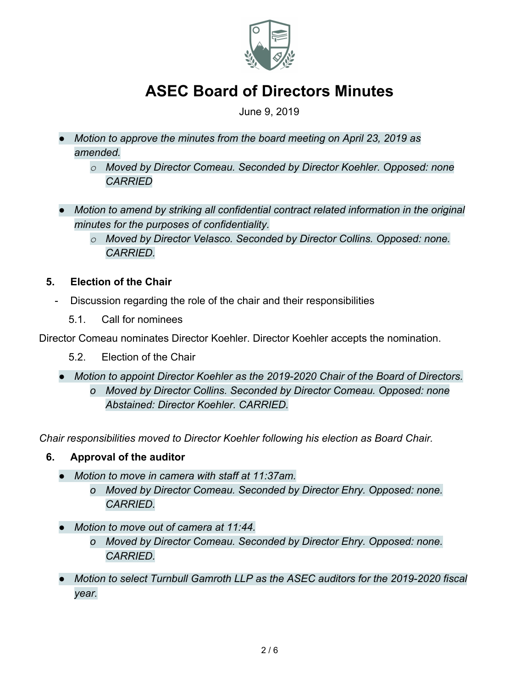

### June 9, 2019

- *● Motion to approve the minutes from the board meeting on April 23, 2019 as amended.*
	- *o Moved by Director Comeau. Seconded by Director Koehler. Opposed: none CARRIED*
- *● Motion to amend by striking all confidential contract related information in the original minutes for the purposes of confidentiality.*
	- *o Moved by Director Velasco. Seconded by Director Collins. Opposed: none. CARRIED.*
- **5. Election of the Chair**
	- Discussion regarding the role of the chair and their responsibilities
		- 5.1. Call for nominees

Director Comeau nominates Director Koehler. Director Koehler accepts the nomination.

- 5.2. Election of the Chair
- *● Motion to appoint Director Koehler as the 2019-2020 Chair of the Board of Directors. o Moved by Director Collins. Seconded by Director Comeau. Opposed: none Abstained: Director Koehler. CARRIED.*

*Chair responsibilities moved to Director Koehler following his election as Board Chair.*

## **6. Approval of the auditor**

- *● Motion to move in camera with staff at 11:37am.*
	- *o Moved by Director Comeau. Seconded by Director Ehry. Opposed: none. CARRIED.*
- *● Motion to move out of camera at 11:44.*
	- *o Moved by Director Comeau. Seconded by Director Ehry. Opposed: none. CARRIED.*
- *● Motion to select Turnbull Gamroth LLP as the ASEC auditors for the 2019-2020 fiscal year.*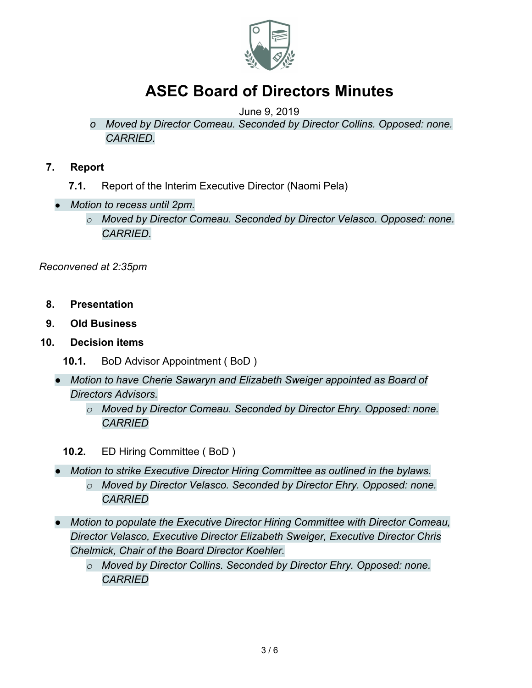

### June 9, 2019

- *o Moved by Director Comeau. Seconded by Director Collins. Opposed: none. CARRIED.*
- **7. Report**
	- **7.1.** Report of the Interim Executive Director (Naomi Pela)
	- *● Motion to recess until 2pm.*
		- *o Moved by Director Comeau. Seconded by Director Velasco. Opposed: none. CARRIED.*

*Reconvened at 2:35pm*

- **8. Presentation**
- **9. Old Business**
- **10. Decision items**
	- **10.1.** BoD Advisor Appointment ( BoD )
	- *● Motion to have Cherie Sawaryn and Elizabeth Sweiger appointed as Board of Directors Advisors.*
		- *o Moved by Director Comeau. Seconded by Director Ehry. Opposed: none. CARRIED*
		- **10.2.** ED Hiring Committee ( BoD )
	- *● Motion to strike Executive Director Hiring Committee as outlined in the bylaws. o Moved by Director Velasco. Seconded by Director Ehry. Opposed: none. CARRIED*
	- *● Motion to populate the Executive Director Hiring Committee with Director Comeau, Director Velasco, Executive Director Elizabeth Sweiger, Executive Director Chris Chelmick, Chair of the Board Director Koehler.*
		- *o Moved by Director Collins. Seconded by Director Ehry. Opposed: none. CARRIED*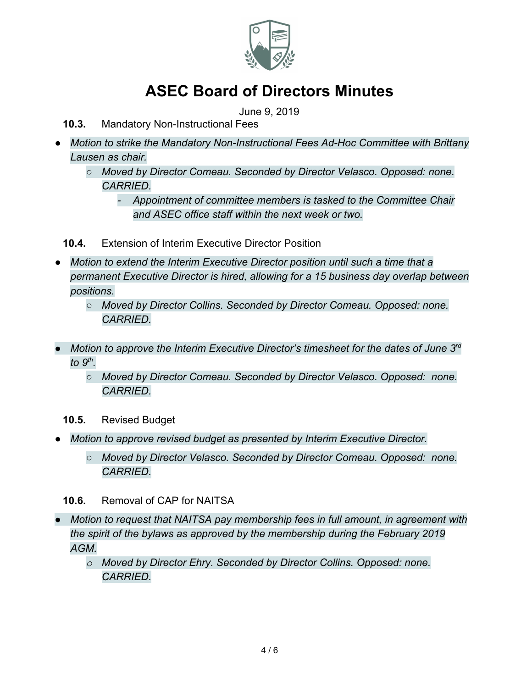

June 9, 2019

- **10.3.** Mandatory Non-Instructional Fees
- *Motion to strike the Mandatory Non-Instructional Fees Ad-Hoc Committee with Brittany Lausen as chair.*
	- *○ Moved by Director Comeau. Seconded by Director Velasco. Opposed: none. CARRIED.*
		- *- Appointment of committee members is tasked to the Committee Chair and ASEC office staff within the next week or two.*
	- **10.4.** Extension of Interim Executive Director Position
- *Motion to extend the Interim Executive Director position until such a time that a permanent Executive Director is hired, allowing for a 15 business day overlap between positions.*
	- *○ Moved by Director Collins. Seconded by Director Comeau. Opposed: none. CARRIED.*
- *● Motion to approve the Interim Executive Director's timesheet for the dates of June 3rd to 9th .*
	- *Moved by Director Comeau. Seconded by Director Velasco. Opposed: none. CARRIED.*
	- **10.5.** Revised Budget
- *● Motion to approve revised budget as presented by Interim Executive Director.*
	- *○ Moved by Director Velasco. Seconded by Director Comeau. Opposed: none. CARRIED.*
	- **10.6.** Removal of CAP for NAITSA
- *● Motion to request that NAITSA pay membership fees in full amount, in agreement with the spirit of the bylaws as approved by the membership during the February 2019 AGM.*
	- *o Moved by Director Ehry. Seconded by Director Collins. Opposed: none. CARRIED.*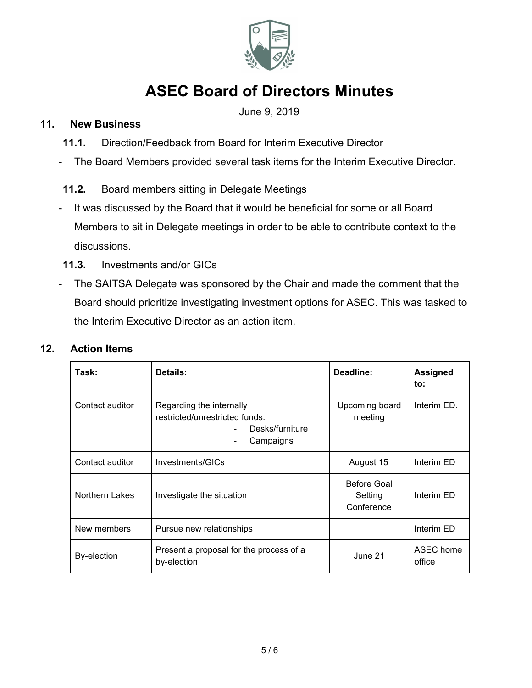

June 9, 2019

### **11. New Business**

- **11.1.** Direction/Feedback from Board for Interim Executive Director
- The Board Members provided several task items for the Interim Executive Director.
- **11.2.** Board members sitting in Delegate Meetings
- It was discussed by the Board that it would be beneficial for some or all Board Members to sit in Delegate meetings in order to be able to contribute context to the discussions.
- **11.3.** Investments and/or GICs
- The SAITSA Delegate was sponsored by the Chair and made the comment that the Board should prioritize investigating investment options for ASEC. This was tasked to the Interim Executive Director as an action item.

#### **12. Action Items**

| Task:              | Details:                                                                                   | Deadline:                                   | <b>Assigned</b><br>to: |
|--------------------|--------------------------------------------------------------------------------------------|---------------------------------------------|------------------------|
| Contact auditor    | Regarding the internally<br>restricted/unrestricted funds.<br>Desks/furniture<br>Campaigns | Upcoming board<br>meeting                   | Interim ED.            |
| Contact auditor    | Investments/GICs                                                                           | August 15                                   | Interim ED             |
| Northern Lakes     | Investigate the situation                                                                  | <b>Before Goal</b><br>Setting<br>Conference | Interim ED             |
| New members        | Pursue new relationships                                                                   |                                             | Interim ED             |
| <b>By-election</b> | Present a proposal for the process of a<br>by-election                                     | June 21                                     | ASEC home<br>office    |